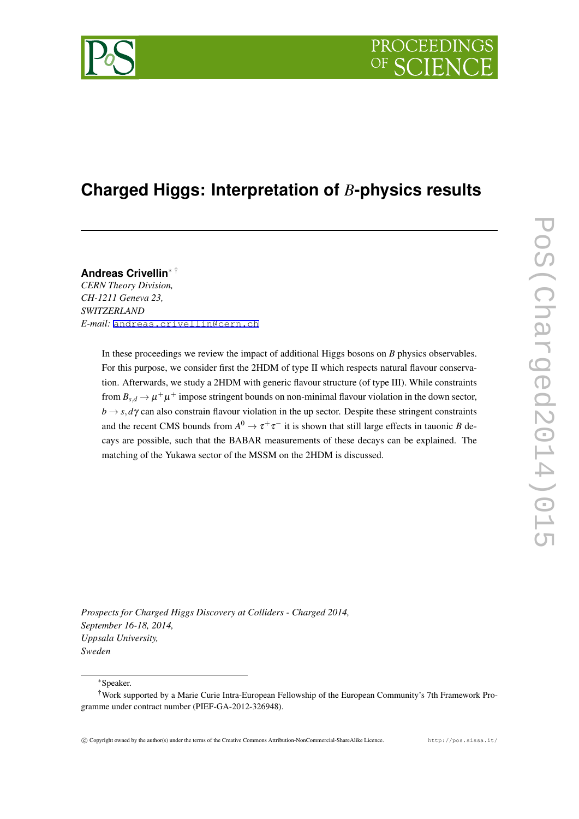

# **Charged Higgs: Interpretation of** *B***-physics results**

**Andreas Crivellin***<sup>∗</sup>* † *CERN Theory Division, CH-1211 Geneva 23, SWITZERLAND E-mail:* [andreas.crivellin@cern.ch](mailto:andreas.crivellin@cern.ch)

> In these proceedings we review the impact of additional Higgs bosons on *B* physics observables. For this purpose, we consider first the 2HDM of type II which respects natural flavour conservation. Afterwards, we study a 2HDM with generic flavour structure (of type III). While constraints from  $B_{s,d} \to \mu^+\mu^+$  impose stringent bounds on non-minimal flavour violation in the down sector,  $b \rightarrow s, d\gamma$  can also constrain flavour violation in the up sector. Despite these stringent constraints and the recent CMS bounds from  $A^0 \to \tau^+\tau^-$  it is shown that still large effects in tauonic *B* decays are possible, such that the BABAR measurements of these decays can be explained. The matching of the Yukawa sector of the MSSM on the 2HDM is discussed.

*Prospects for Charged Higgs Discovery at Colliders - Charged 2014, September 16-18, 2014, Uppsala University, Sweden*

*∗*Speaker.

<sup>†</sup>Work supported by a Marie Curie Intra-European Fellowship of the European Community's 7th Framework Programme under contract number (PIEF-GA-2012-326948).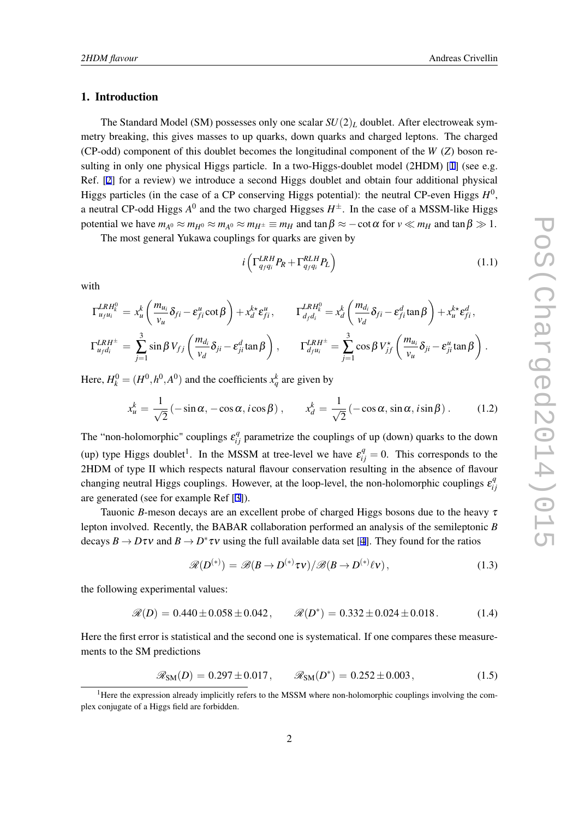### <span id="page-1-0"></span>1. Introduction

The Standard Model (SM) possesses only one scalar  $SU(2)_L$  doublet. After electroweak symmetry breaking, this gives masses to up quarks, down quarks and charged leptons. The charged (CP-odd) component of this doublet becomes the longitudinal component of the *W* (*Z*) boson re-sulting in only one physical Higgs particle. In a two-Higgs-doublet model (2HDM) [[1](#page-6-0)] (see e.g. Ref. [\[2\]](#page-6-0) for a review) we introduce a second Higgs doublet and obtain four additional physical Higgs particles (in the case of a CP conserving Higgs potential): the neutral CP-even Higgs  $H^0$ , a neutral CP-odd Higgs  $A^0$  and the two charged Higgses  $H^\pm$ . In the case of a MSSM-like Higgs potential we have  $m_{A^0} \approx m_{H^0} \approx m_{A^0} \approx m_{H^{\pm}} \equiv m_H$  and  $\tan \beta \approx -\cot \alpha$  for  $v \ll m_H$  and  $\tan \beta \gg 1$ .

The most general Yukawa couplings for quarks are given by

$$
i\left(\Gamma_{q_f q_i}^{LRH} P_R + \Gamma_{q_f q_i}^{RLH} P_L\right) \tag{1.1}
$$

with

$$
\Gamma_{u_f u_i}^{LRH^0_i} = x_u^k \left( \frac{m_{u_i}}{v_u} \delta_{fi} - \varepsilon_{fi}^u \cot \beta \right) + x_d^{k*} \varepsilon_{fi}^u, \qquad \Gamma_{d_f d_i}^{LRH^0_i} = x_d^k \left( \frac{m_{d_i}}{v_d} \delta_{fi} - \varepsilon_{fi}^d \tan \beta \right) + x_u^{k*} \varepsilon_{fi}^d,
$$
\n
$$
\Gamma_{u_f d_i}^{LRH^{\pm}} = \sum_{j=1}^3 \sin \beta V_{fj} \left( \frac{m_{d_i}}{v_d} \delta_{ji} - \varepsilon_{ji}^d \tan \beta \right), \qquad \Gamma_{d_f u_i}^{LRH^{\pm}} = \sum_{j=1}^3 \cos \beta V_{jf}^{\star} \left( \frac{m_{u_i}}{v_u} \delta_{ji} - \varepsilon_{ji}^u \tan \beta \right).
$$

Here,  $H_k^0 = (H^0, h^0, A^0)$  and the coefficients  $x_q^k$  are given by

$$
x_u^k = \frac{1}{\sqrt{2}} \left( -\sin \alpha, -\cos \alpha, i \cos \beta \right), \qquad x_d^k = \frac{1}{\sqrt{2}} \left( -\cos \alpha, \sin \alpha, i \sin \beta \right). \tag{1.2}
$$

The "non-holomorphic" couplings  $\varepsilon_{ij}^q$  parametrize the couplings of up (down) quarks to the down (up) type Higgs doublet<sup>1</sup>. In the MSSM at tree-level we have  $\varepsilon_{ij}^q = 0$ . This corresponds to the 2HDM of type II which respects natural flavour conservation resulting in the absence of flavour changing neutral Higgs couplings. However, at the loop-level, the non-holomorphic couplings  $\varepsilon_i^q$ *i j* are generated (see for example Ref [[3](#page-6-0)]).

Tauonic *B*-meson decays are an excellent probe of charged Higgs bosons due to the heavy  $\tau$ lepton involved. Recently, the BABAR collaboration performed an analysis of the semileptonic *B* decays  $B \to D\tau v$  and  $B \to D^* \tau v$  using the full available data set [[4](#page-6-0)]. They found for the ratios

$$
\mathscr{R}(D^{(*)}) = \mathscr{B}(B \to D^{(*)}\tau\nu)/\mathscr{B}(B \to D^{(*)}\ell\nu), \qquad (1.3)
$$

the following experimental values:

$$
\mathcal{R}(D) = 0.440 \pm 0.058 \pm 0.042, \qquad \mathcal{R}(D^*) = 0.332 \pm 0.024 \pm 0.018. \tag{1.4}
$$

Here the first error is statistical and the second one is systematical. If one compares these measurements to the SM predictions

$$
\mathcal{R}_{SM}(D) = 0.297 \pm 0.017
$$
,  $\mathcal{R}_{SM}(D^*) = 0.252 \pm 0.003$ , (1.5)

<sup>&</sup>lt;sup>1</sup>Here the expression already implicitly refers to the MSSM where non-holomorphic couplings involving the complex conjugate of a Higgs field are forbidden.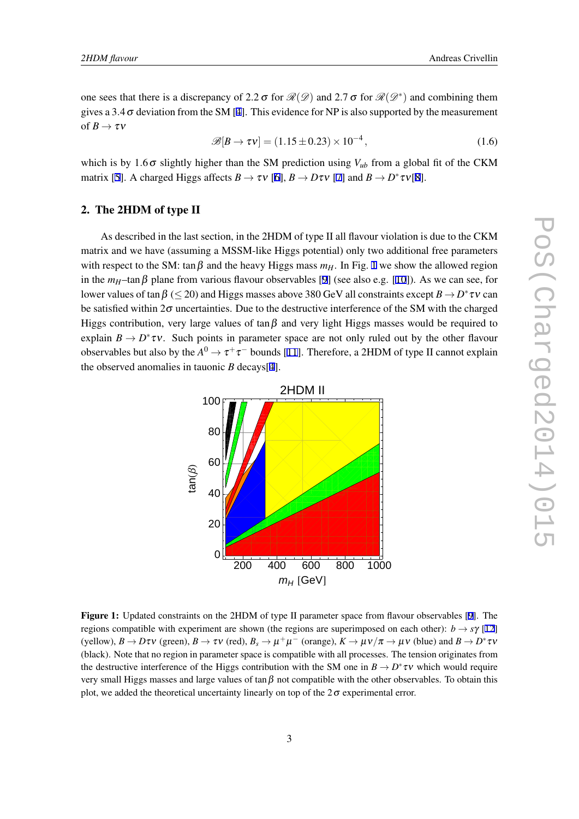one sees that there is a discrepancy of 2.2  $\sigma$  for  $\mathcal{R}(\mathcal{D})$  and 2.7  $\sigma$  for  $\mathcal{R}(\mathcal{D}^*)$  and combining them gives a 3.[4](#page-6-0) $\sigma$  deviation from the SM [4]. This evidence for NP is also supported by the measurement of  $B \to \tau v$ 

$$
\mathscr{B}[B \to \tau v] = (1.15 \pm 0.23) \times 10^{-4}, \qquad (1.6)
$$

which is by 1.6 $\sigma$  slightly higher than the SM prediction using  $V_{ub}$  from a global fit of the CKM matrix [\[5\]](#page-6-0). A charged Higgs affects  $B \to \tau \nu$  [\[6\]](#page-6-0),  $B \to D \tau \nu$  [[7](#page-6-0)] and  $B \to D^* \tau \nu[8]$  $B \to D^* \tau \nu[8]$  $B \to D^* \tau \nu[8]$ .

# 2. The 2HDM of type II

As described in the last section, in the 2HDM of type II all flavour violation is due to the CKM matrix and we have (assuming a MSSM-like Higgs potential) only two additional free parameters with respect to the SM: tan  $\beta$  and the heavy Higgs mass  $m_H$ . In Fig. 1 we show the allowed region in the  $m_H$ –tan $\beta$  plane from various flavour observables [\[9\]](#page-7-0) (see also e.g. [[10\]](#page-7-0)). As we can see, for lower values of  $\tan\beta$  ( $\leq$  20) and Higgs masses above 380 GeV all constraints except  $B \to D^* \tau \nu$  can be satisfied within  $2\sigma$  uncertainties. Due to the destructive interference of the SM with the charged Higgs contribution, very large values of  $\tan \beta$  and very light Higgs masses would be required to explain  $B \to D^* \tau v$ . Such points in parameter space are not only ruled out by the other flavour observables but also by the  $A^0 \to \tau^+\tau^-$  bounds [\[11](#page-7-0)]. Therefore, a 2HDM of type II cannot explain the observed anomalies in tauonic *B* decays[\[4\]](#page-6-0).



Figure 1: Updated constraints on the 2HDM of type II parameter space from flavour observables [[9\]](#page-7-0). The regions compatible with experiment are shown (the regions are superimposed on each other):  $b \rightarrow s\gamma$  [[12\]](#page-7-0) (yellow),  $B \to D\tau\nu$  (green),  $B \to \tau\nu$  (red),  $B_s \to \mu^+\mu^-$  (orange),  $K \to \mu\nu/\pi \to \mu\nu$  (blue) and  $B \to D^*\tau\nu$ (black). Note that no region in parameter space is compatible with all processes. The tension originates from the destructive interference of the Higgs contribution with the SM one in  $B \to D^* \tau \nu$  which would require very small Higgs masses and large values of tan  $\beta$  not compatible with the other observables. To obtain this plot, we added the theoretical uncertainty linearly on top of the  $2\sigma$  experimental error.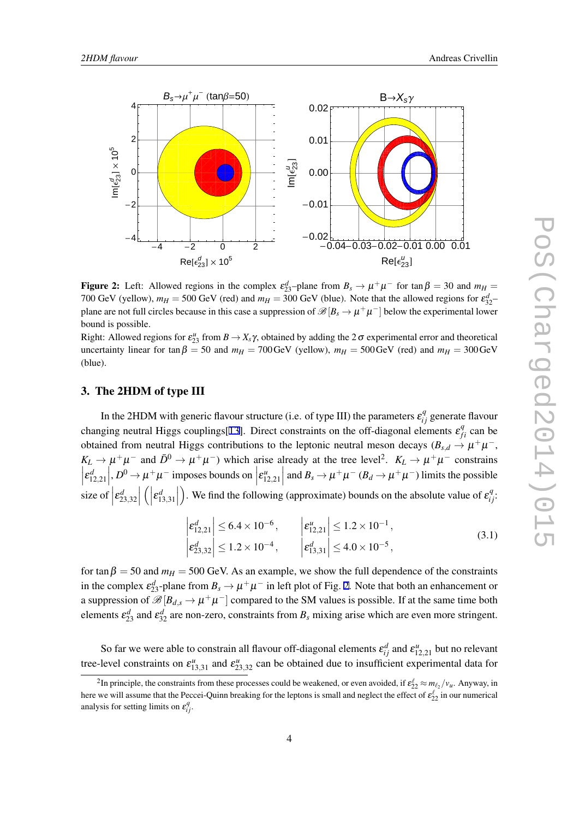<span id="page-3-0"></span>

Figure 2: Left: Allowed regions in the complex  $\varepsilon_{23}^d$ -plane from  $B_s \to \mu^+\mu^-$  for tan  $\beta = 30$  and  $m_H =$ 700 GeV (yellow),  $m_H = 500$  GeV (red) and  $m_H = 300$  GeV (blue). Note that the allowed regions for  $\varepsilon_{32}^d$ plane are not full circles because in this case a suppression of  $\mathscr{B}[B_s \to \mu^+\mu^-]$  below the experimental lower bound is possible.

Right: Allowed regions for  $\varepsilon_{23}^u$  from  $B \to X_s \gamma$ , obtained by adding the 2 $\sigma$  experimental error and theoretical uncertainty linear for tan  $\beta = 50$  and  $m_H = 700 \text{ GeV}$  (yellow),  $m_H = 500 \text{ GeV}$  (red) and  $m_H = 300 \text{ GeV}$ (blue).

# 3. The 2HDM of type III

In the 2HDM with generic flavour structure (i.e. of type III) the parameters  $\varepsilon_{ij}^q$  generate flavour changing neutral Higgs couplings[\[13](#page-7-0)]. Direct constraints on the off-diagonal elements  $\varepsilon_{fi}^q$  can be obtained from neutral Higgs contributions to the leptonic neutral meson decays ( $B_{s,d} \to \mu^+\mu^-$ ,  $K_L \rightarrow \mu^+ \mu^-$  and  $\bar{D}^0 \rightarrow \mu^+ \mu^-$ ) which arise already at the tree level<sup>2</sup>.  $K_L \rightarrow \mu^+ \mu^-$  constrains  $\left| \varepsilon_{12,21}^d \right|$ ,  $D^0 \to \mu^+ \mu^-$  imposes bounds on  $\left| \varepsilon_{12,21}^u \right|$  and  $B_s \to \mu^+ \mu^ (B_d \to \mu^+ \mu^-)$  limits the possible size of  $\left| \varepsilon_{23,32}^d \right|$  $\left( \left| \varepsilon_{13,31}^{d} \right| \right)$ ). We find the following (approximate) bounds on the absolute value of  $\varepsilon_{ij}^q$ :

$$
\begin{vmatrix} \varepsilon_{12,21}^d \end{vmatrix} \le 6.4 \times 10^{-6}, \qquad \begin{vmatrix} \varepsilon_{12,21}^u \end{vmatrix} \le 1.2 \times 10^{-1}, \\ \varepsilon_{23,32}^d \le 1.2 \times 10^{-4}, \qquad \begin{vmatrix} \varepsilon_{13,31}^d \end{vmatrix} \le 4.0 \times 10^{-5}, \qquad (3.1)
$$

for tan  $\beta = 50$  and  $m_H = 500$  GeV. As an example, we show the full dependence of the constraints in the complex  $\varepsilon_{23}^d$ -plane from  $B_s \to \mu^+\mu^-$  in left plot of Fig. 2. Note that both an enhancement or a suppression of  $\mathscr{B}[B_{d,s} \to \mu^+\mu^-]$  compared to the SM values is possible. If at the same time both elements  $\epsilon_{23}^d$  and  $\epsilon_{32}^d$  are non-zero, constraints from  $B_s$  mixing arise which are even more stringent.

So far we were able to constrain all flavour off-diagonal elements  $\varepsilon_{ij}^d$  and  $\varepsilon_{12,21}^u$  but no relevant tree-level constraints on  $\varepsilon_{13,31}^u$  and  $\varepsilon_{23,32}^u$  can be obtained due to insufficient experimental data for

<sup>&</sup>lt;sup>2</sup>In principle, the constraints from these processes could be weakened, or even avoided, if  $\varepsilon_{22}^{\ell} \approx m_{\ell_2}/v_u$ . Anyway, in here we will assume that the Peccei-Quinn breaking for the leptons is small and neglect the effect of  $\varepsilon_{22}^{\ell}$  in our numerical analysis for setting limits on  $\varepsilon_{ij}^q$ .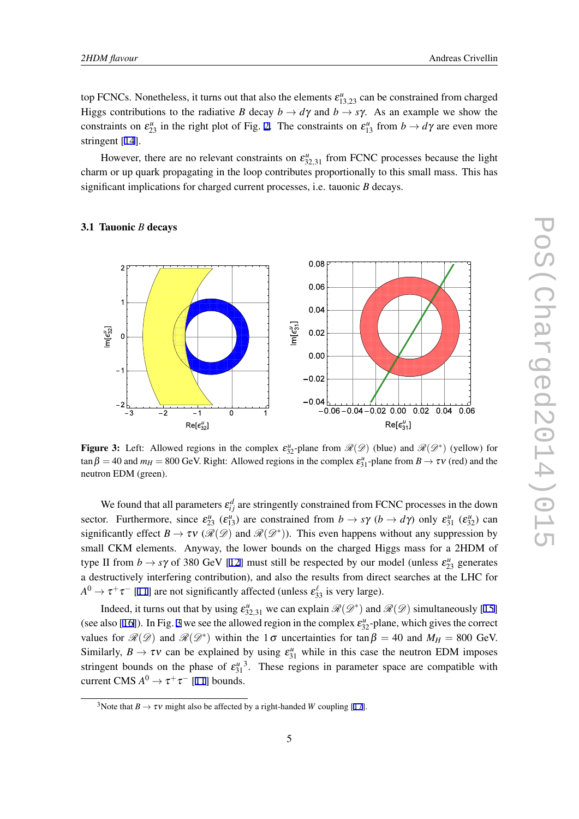top FCNCs. Nonetheless, it turns out that also the elements  $\varepsilon_{13,23}^u$  can be constrained from charged Higgs contributions to the radiative *B* decay  $b \to d\gamma$  and  $b \to s\gamma$ . As an example we show the constraints on  $\varepsilon_{23}^u$  $\varepsilon_{23}^u$  $\varepsilon_{23}^u$  in the right plot of Fig. 2. The constraints on  $\varepsilon_{13}^u$  from  $b \to d\gamma$  are even more stringent [[14\]](#page-7-0).

However, there are no relevant constraints on  $\varepsilon_{32,31}^u$  from FCNC processes because the light charm or up quark propagating in the loop contributes proportionally to this small mass. This has significant implications for charged current processes, i.e. tauonic *B* decays.



#### 3.1 Tauonic *B* decays

Figure 3: Left: Allowed regions in the complex  $\varepsilon_{32}^{\mu}$ -plane from  $\mathcal{R}(\mathcal{D})$  (blue) and  $\mathcal{R}(\mathcal{D}^*)$  (yellow) for  $\tan \beta = 40$  and  $m_H = 800$  GeV. Right: Allowed regions in the complex  $\varepsilon_{31}^u$ -plane from  $B \to \tau v$  (red) and the neutron EDM (green).

We found that all parameters  $\varepsilon_{ij}^d$  are stringently constrained from FCNC processes in the down sector. Furthermore, since  $\varepsilon_{23}^u$  ( $\varepsilon_{13}^u$ ) are constrained from  $b \to s\gamma$  ( $b \to d\gamma$ ) only  $\varepsilon_{31}^u$  ( $\varepsilon_{32}^u$ ) can significantly effect  $B \to \tau v$  ( $\mathcal{R}(\mathcal{D})$  and  $\mathcal{R}(\mathcal{D}^*)$ ). This even happens without any suppression by small CKM elements. Anyway, the lower bounds on the charged Higgs mass for a 2HDM of type II from  $b \to s\gamma$  of 380 GeV [[12\]](#page-7-0) must still be respected by our model (unless  $\varepsilon_{23}^u$  generates a destructively interfering contribution), and also the results from direct searches at the LHC for  $A^0 \rightarrow \tau^+\tau^-$  [\[11](#page-7-0)] are not significantly affected (unless  $\varepsilon_{33}^{\ell}$  is very large).

Indeed, it turns out that by using  $\varepsilon_{32,31}^u$  we can explain  $\mathcal{R}(\mathcal{D}^*)$  and  $\mathcal{R}(\mathcal{D})$  simultaneously [\[15](#page-7-0)] (see also [\[16](#page-7-0)]). In Fig. 3 we see the allowed region in the complex  $\varepsilon_{32}^{\mu}$ -plane, which gives the correct values for  $\mathcal{R}(\mathcal{D})$  and  $\mathcal{R}(\mathcal{D}^*)$  within the 1 $\sigma$  uncertainties for tan  $\beta = 40$  and  $M_H = 800$  GeV. Similarly,  $B \to \tau v$  can be explained by using  $\varepsilon_{31}^u$  while in this case the neutron EDM imposes stringent bounds on the phase of  $\varepsilon_{31}^{\mu}$ <sup>3</sup>. These regions in parameter space are compatible with current CMS  $A^0 \to \tau^+\tau^-$  [[11\]](#page-7-0) bounds.

<sup>&</sup>lt;sup>3</sup>Note that  $B \to \tau v$  might also be affected by a right-handed *W* coupling [[17\]](#page-7-0).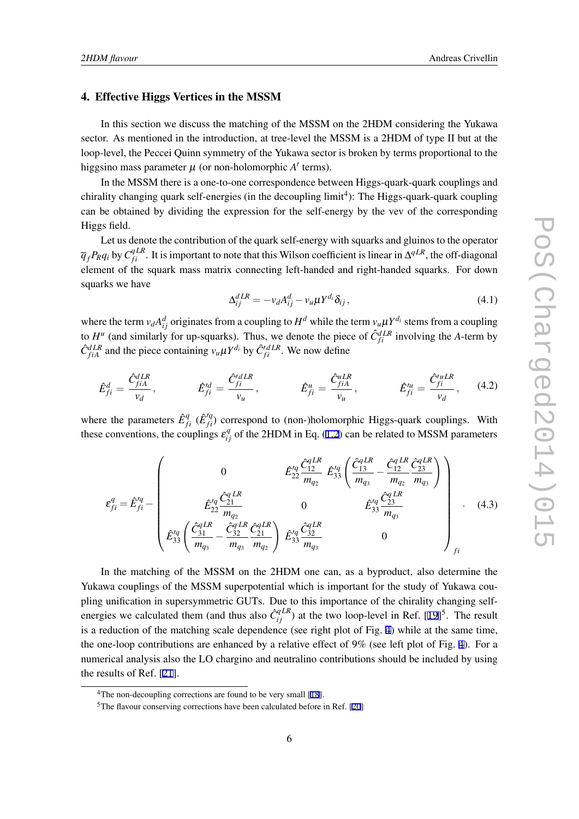# 4. Effective Higgs Vertices in the MSSM

In this section we discuss the matching of the MSSM on the 2HDM considering the Yukawa sector. As mentioned in the introduction, at tree-level the MSSM is a 2HDM of type II but at the loop-level, the Peccei Quinn symmetry of the Yukawa sector is broken by terms proportional to the higgsino mass parameter µ (or non-holomorphic *A ′* terms).

In the MSSM there is a one-to-one correspondence between Higgs-quark-quark couplings and chirality changing quark self-energies (in the decoupling  $limit<sup>4</sup>$ ): The Higgs-quark-quark coupling can be obtained by dividing the expression for the self-energy by the vev of the corresponding Higgs field.

Let us denote the contribution of the quark self-energy with squarks and gluinos to the operator  $\overline{q}_f$ *P<sub>R</sub>* $q_i$  by  $C^{qLR}_{fi}$ . It is important to note that this Wilson coefficient is linear in  $\Delta^{qLR}$ , the off-diagonal element of the squark mass matrix connecting left-handed and right-handed squarks. For down squarks we have

$$
\Delta_{ij}^{dLR} = -v_d A_{ij}^d - v_u \mu Y^{d_i} \delta_{ij},\qquad(4.1)
$$

where the term  $v_d A_{ij}^d$  originates from a coupling to  $H^d$  while the term  $v_u \mu Y^{d_i}$  stems from a coupling to  $H^u$  (and similarly for up-squarks). Thus, we denote the piece of  $\hat{C}_{fi}^{dLR}$  involving the *A*-term by  $\hat{C}_{fiA}^{dLR}$  and the piece containing  $v_u \mu Y^{d_i}$  by  $\hat{C}_{fi}^{dLR}$ . We now define

$$
\hat{E}_{fi}^d = \frac{\hat{C}_{fiA}^{dLR}}{v_d}, \qquad \hat{E}_{fi}^{\prime d} = \frac{\hat{C}_{fi}^{\prime dLR}}{v_u}, \qquad \hat{E}_{fi}^u = \frac{\hat{C}_{fiA}^{uLR}}{v_u}, \qquad \hat{E}_{fi}^{\prime u} = \frac{\hat{C}_{fi}^{\prime uLR}}{v_d}, \qquad (4.2)
$$

where the parameters  $\hat{E}^q_{fi}$  ( $\hat{E}^{'q}_{fi}$ ) correspond to (non-)holomorphic Higgs-quark couplings. With these conventions, the couplings  $\varepsilon_{ij}^q$  of the 2HDM in Eq. [\(1.2\)](#page-1-0) can be related to MSSM parameters

$$
\varepsilon_{fi}^{q} = \hat{E}_{fi}^{lq} - \begin{pmatrix} 0 & \hat{E}_{22}^{lq} \frac{\hat{C}_{12}^{qLR}}{m_{q_2}} & \hat{E}_{33}^{lq} \left( \frac{\hat{C}_{13}^{qLR}}{m_{q_3}} - \frac{\hat{C}_{12}^{qLR}}{m_{q_2}} \frac{\hat{C}_{23}^{qLR}}{m_{q_3}} \right) \\ \hat{E}_{22}^{lq} \frac{\hat{C}_{21}^{qLR}}{m_{q_2}} & 0 & \hat{E}_{33}^{lq} \frac{\hat{C}_{23}^{qLR}}{m_{q_3}} \\ \hat{E}_{33}^{lq} \left( \frac{\hat{C}_{31}^{qLR}}{m_{q_3}} - \frac{\hat{C}_{32}^{qLR}}{m_{q_3}} \frac{\hat{C}_{21}^{qLR}}{m_{q_2}} \right) & \hat{E}_{33}^{lq} \frac{\hat{C}_{32}^{qLR}}{m_{q_3}} & 0 \end{pmatrix}
$$
(4.3)

In the matching of the MSSM on the 2HDM one can, as a byproduct, also determine the Yukawa couplings of the MSSM superpotential which is important for the study of Yukawa coupling unification in supersymmetric GUTs. Due to this importance of the chirality changing selfenergies we calculated them (and thus also  $\hat{C}_{ij}^{qLR}$ ) at the two loop-level in Ref. [[19\]](#page-7-0)<sup>5</sup>. The result is a reduction of the matching scale dependence (see right plot of Fig. [4](#page-6-0)) while at the same time, the one-loop contributions are enhanced by a relative effect of 9% (see left plot of Fig. [4](#page-6-0)). For a numerical analysis also the LO chargino and neutralino contributions should be included by using the results of Ref. [\[21](#page-8-0)].

<sup>&</sup>lt;sup>4</sup>The non-decoupling corrections are found to be very small [\[18](#page-7-0)].

<sup>5</sup>The flavour conserving corrections have been calculated before in Ref. [\[20](#page-7-0)]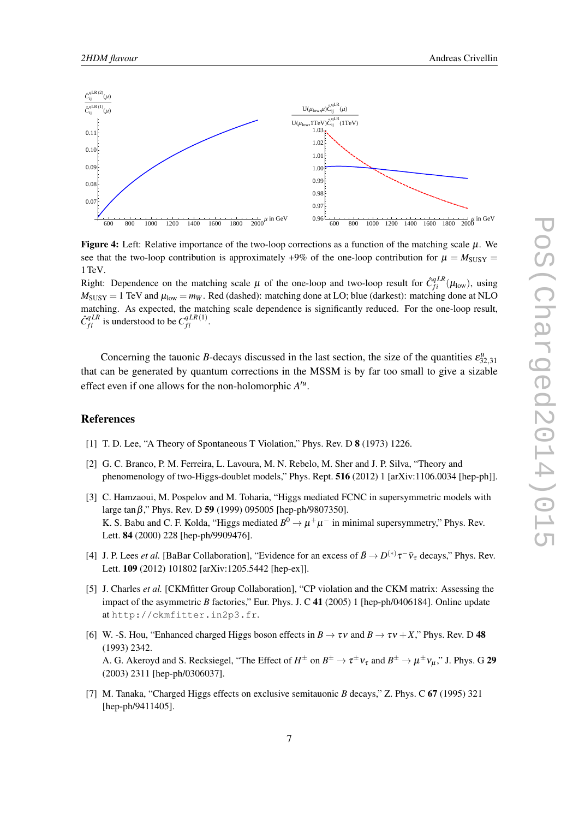<span id="page-6-0"></span>

**Figure 4:** Left: Relative importance of the two-loop corrections as a function of the matching scale  $\mu$ . We see that the two-loop contribution is approximately  $+9\%$  of the one-loop contribution for  $\mu = M_{\text{SUSY}} =$ 1TeV.

Right: Dependence on the matching scale  $\mu$  of the one-loop and two-loop result for  $\hat{C}_{fi}^{qLR}(\mu_{\text{low}})$ , using  $M_{SUSY} = 1$  TeV and  $\mu_{low} = m_W$ . Red (dashed): matching done at LO; blue (darkest): matching done at NLO matching. As expected, the matching scale dependence is significantly reduced. For the one-loop result,  $\hat{C}_{fi}^{qLR}$  is understood to be  $C_{fi}^{qLR(1)}$ .

Concerning the tauonic *B*-decays discussed in the last section, the size of the quantities  $\varepsilon_{32,31}^u$ that can be generated by quantum corrections in the MSSM is by far too small to give a sizable effect even if one allows for the non-holomorphic *A ′u* .

## References

- [1] T. D. Lee, "A Theory of Spontaneous T Violation," Phys. Rev. D 8 (1973) 1226.
- [2] G. C. Branco, P. M. Ferreira, L. Lavoura, M. N. Rebelo, M. Sher and J. P. Silva, "Theory and phenomenology of two-Higgs-doublet models," Phys. Rept. 516 (2012) 1 [arXiv:1106.0034 [hep-ph]].
- [3] C. Hamzaoui, M. Pospelov and M. Toharia, "Higgs mediated FCNC in supersymmetric models with large tanβ," Phys. Rev. D 59 (1999) 095005 [hep-ph/9807350]. K. S. Babu and C. F. Kolda, "Higgs mediated  $B^0 \to \mu^+ \mu^-$  in minimal supersymmetry," Phys. Rev. Lett. 84 (2000) 228 [hep-ph/9909476].
- [4] J. P. Lees *et al.* [BaBar Collaboration], "Evidence for an excess of  $\bar{B} \to D^{(*)} \tau^- \bar{\nu}_{\tau}$  decays," Phys. Rev. Lett. 109 (2012) 101802 [arXiv:1205.5442 [hep-ex]].
- [5] J. Charles *et al.* [CKMfitter Group Collaboration], "CP violation and the CKM matrix: Assessing the impact of the asymmetric *B* factories," Eur. Phys. J. C 41 (2005) 1 [hep-ph/0406184]. Online update at http://ckmfitter.in2p3.fr.
- [6] W. -S. Hou, "Enhanced charged Higgs boson effects in  $B \to \tau v$  and  $B \to \tau v + X$ ," Phys. Rev. D 48 (1993) 2342. A. G. Akeroyd and S. Recksiegel, "The Effect of  $H^{\pm}$  on  $B^{\pm} \to \tau^{\pm} \nu_{\tau}$  and  $B^{\pm} \to \mu^{\pm} \nu_{\mu}$ ," J. Phys. G 29 (2003) 2311 [hep-ph/0306037].
- [7] M. Tanaka, "Charged Higgs effects on exclusive semitauonic *B* decays," Z. Phys. C 67 (1995) 321 [hep-ph/9411405].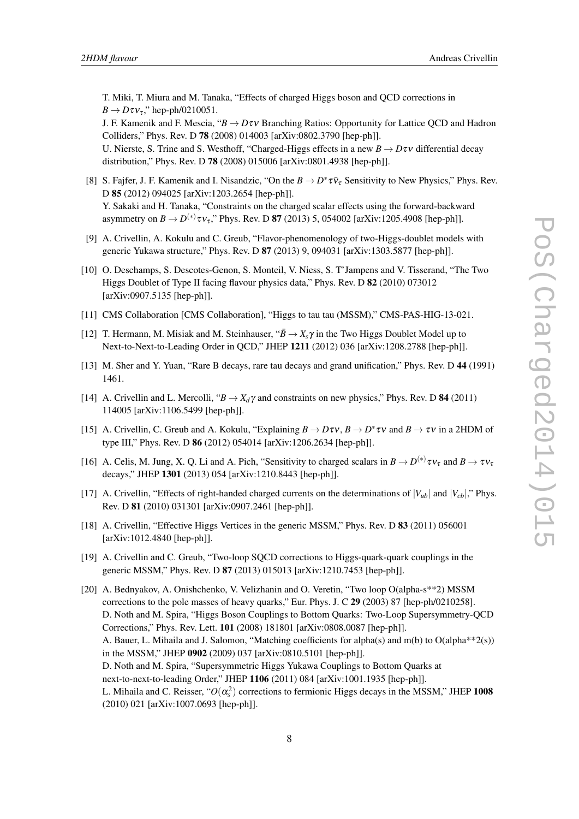<span id="page-7-0"></span>T. Miki, T. Miura and M. Tanaka, "Effects of charged Higgs boson and QCD corrections in  $B \rightarrow D \tau v_{\tau}$ ," hep-ph/0210051.

J. F. Kamenik and F. Mescia, "*B → D*τν Branching Ratios: Opportunity for Lattice QCD and Hadron Colliders," Phys. Rev. D 78 (2008) 014003 [arXiv:0802.3790 [hep-ph]].

U. Nierste, S. Trine and S. Westhoff, "Charged-Higgs effects in a new  $B \to D \tau v$  differential decay distribution," Phys. Rev. D 78 (2008) 015006 [arXiv:0801.4938 [hep-ph]].

- [8] S. Fajfer, J. F. Kamenik and I. Nisandzic, "On the  $B \to D^* \tau \bar{\nu}_{\tau}$  Sensitivity to New Physics," Phys. Rev. D 85 (2012) 094025 [arXiv:1203.2654 [hep-ph]]. Y. Sakaki and H. Tanaka, "Constraints on the charged scalar effects using the forward-backward asymmetry on  $B \to D^{(*)} \tau v_{\tau}$ ," Phys. Rev. D **87** (2013) 5, 054002 [arXiv:1205.4908 [hep-ph]].
- [9] A. Crivellin, A. Kokulu and C. Greub, "Flavor-phenomenology of two-Higgs-doublet models with generic Yukawa structure," Phys. Rev. D 87 (2013) 9, 094031 [arXiv:1303.5877 [hep-ph]].
- [10] O. Deschamps, S. Descotes-Genon, S. Monteil, V. Niess, S. T'Jampens and V. Tisserand, "The Two Higgs Doublet of Type II facing flavour physics data," Phys. Rev. D 82 (2010) 073012 [arXiv:0907.5135 [hep-ph]].
- [11] CMS Collaboration [CMS Collaboration], "Higgs to tau tau (MSSM)," CMS-PAS-HIG-13-021.
- [12] T. Hermann, M. Misiak and M. Steinhauser, " $\bar{B} \to X_s \gamma$  in the Two Higgs Doublet Model up to Next-to-Next-to-Leading Order in QCD," JHEP 1211 (2012) 036 [arXiv:1208.2788 [hep-ph]].
- [13] M. Sher and Y. Yuan, "Rare B decays, rare tau decays and grand unification," Phys. Rev. D 44 (1991) 1461.
- [14] A. Crivellin and L. Mercolli, " $B \rightarrow X_d \gamma$  and constraints on new physics," Phys. Rev. D **84** (2011) 114005 [arXiv:1106.5499 [hep-ph]].
- [15] A. Crivellin, C. Greub and A. Kokulu, "Explaining  $B \to D\tau v$ ,  $B \to D^* \tau v$  and  $B \to \tau v$  in a 2HDM of type III," Phys. Rev. D 86 (2012) 054014 [arXiv:1206.2634 [hep-ph]].
- [16] A. Celis, M. Jung, X. Q. Li and A. Pich, "Sensitivity to charged scalars in  $B \to D^{(*)} \tau v_{\tau}$  and  $B \to \tau v_{\tau}$ decays," JHEP 1301 (2013) 054 [arXiv:1210.8443 [hep-ph]].
- [17] A. Crivellin, "Effects of right-handed charged currents on the determinations of  $|V_{ub}|$  and  $|V_{cb}|$ ," Phys. Rev. D 81 (2010) 031301 [arXiv:0907.2461 [hep-ph]].
- [18] A. Crivellin, "Effective Higgs Vertices in the generic MSSM," Phys. Rev. D 83 (2011) 056001 [arXiv:1012.4840 [hep-ph]].
- [19] A. Crivellin and C. Greub, "Two-loop SQCD corrections to Higgs-quark-quark couplings in the generic MSSM," Phys. Rev. D 87 (2013) 015013 [arXiv:1210.7453 [hep-ph]].
- [20] A. Bednyakov, A. Onishchenko, V. Velizhanin and O. Veretin, "Two loop O(alpha-s\*\*2) MSSM corrections to the pole masses of heavy quarks," Eur. Phys. J. C 29 (2003) 87 [hep-ph/0210258]. D. Noth and M. Spira, "Higgs Boson Couplings to Bottom Quarks: Two-Loop Supersymmetry-QCD Corrections," Phys. Rev. Lett. 101 (2008) 181801 [arXiv:0808.0087 [hep-ph]]. A. Bauer, L. Mihaila and J. Salomon, "Matching coefficients for alpha(s) and m(b) to O(alpha\*\*2(s)) in the MSSM," JHEP 0902 (2009) 037 [arXiv:0810.5101 [hep-ph]]. D. Noth and M. Spira, "Supersymmetric Higgs Yukawa Couplings to Bottom Quarks at next-to-next-to-leading Order," JHEP 1106 (2011) 084 [arXiv:1001.1935 [hep-ph]]. L. Mihaila and C. Reisser, " $O(\alpha_s^2)$  corrections to fermionic Higgs decays in the MSSM," JHEP 1008 (2010) 021 [arXiv:1007.0693 [hep-ph]].